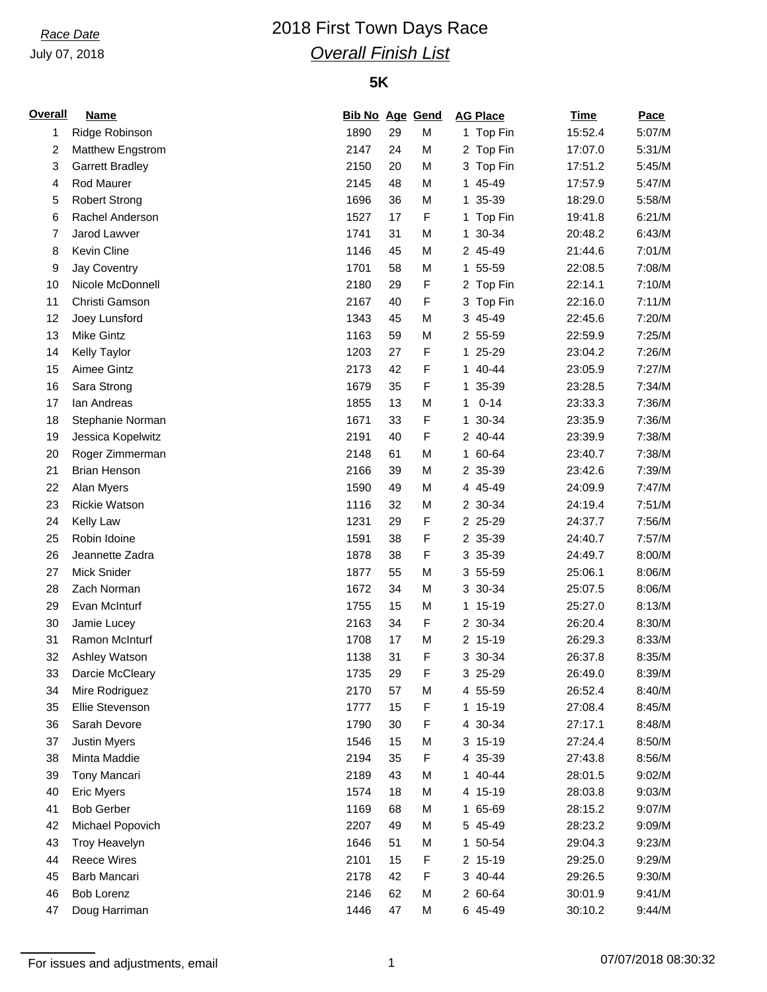## July 07, 2018

# *Race Date* 2018 First Town Days Race *Overall Finish List*

### **5K**

| <b>Overall</b> | <u>Name</u>            | <b>Bib No Age Gend</b> |    |        | <b>AG Place</b> | <b>Time</b> | Pace             |
|----------------|------------------------|------------------------|----|--------|-----------------|-------------|------------------|
| 1              | Ridge Robinson         | 1890                   | 29 | M      | 1 Top Fin       | 15:52.4     | 5:07/M           |
| 2              | Matthew Engstrom       | 2147                   | 24 | M      | 2 Top Fin       | 17:07.0     | 5:31/M           |
| 3              | <b>Garrett Bradley</b> | 2150                   | 20 | M      | 3 Top Fin       | 17:51.2     | 5:45/M           |
| 4              | Rod Maurer             | 2145                   | 48 | M      | 45-49<br>1.     | 17:57.9     | 5:47/M           |
| 5              | <b>Robert Strong</b>   | 1696                   | 36 | M      | 35-39<br>1.     | 18:29.0     | 5:58/M           |
| 6              | Rachel Anderson        | 1527                   | 17 | F      | 1 Top Fin       | 19:41.8     | 6:21/M           |
| 7              | Jarod Lawver           | 1741                   | 31 | M      | 1 30-34         | 20:48.2     | 6:43/M           |
| 8              | Kevin Cline            | 1146                   | 45 | M      | 2 45-49         | 21:44.6     | 7:01/M           |
| 9              | Jay Coventry           | 1701                   | 58 | M      | 1 55-59         | 22:08.5     | 7:08/M           |
| 10             | Nicole McDonnell       | 2180                   | 29 | F      | 2 Top Fin       | 22:14.1     | 7:10/M           |
| 11             | Christi Gamson         | 2167                   | 40 | F      | 3 Top Fin       | 22:16.0     | 7:11/M           |
| 12             | Joey Lunsford          | 1343                   | 45 | M      | 3 45-49         | 22:45.6     | 7:20/M           |
| 13             | <b>Mike Gintz</b>      | 1163                   | 59 | M      | 2 55-59         | 22:59.9     | 7:25/M           |
| 14             | Kelly Taylor           | 1203                   | 27 | F      | 1 25-29         | 23:04.2     | 7:26/M           |
| 15             | Aimee Gintz            | 2173                   | 42 | F      | 1 40-44         | 23:05.9     | 7:27/M           |
| 16             | Sara Strong            | 1679                   | 35 | F      | 35-39<br>1.     | 23:28.5     | 7:34/M           |
| 17             | lan Andreas            | 1855                   | 13 | M      | $0 - 14$<br>1   | 23:33.3     | 7:36/M           |
| 18             | Stephanie Norman       | 1671                   | 33 | F      | 1 30-34         | 23:35.9     | 7:36/M           |
| 19             | Jessica Kopelwitz      | 2191                   | 40 | F      | 2 40-44         | 23:39.9     | 7:38/M           |
| 20             | Roger Zimmerman        | 2148                   | 61 | M      | 1 60-64         | 23:40.7     | 7:38/M           |
| 21             | <b>Brian Henson</b>    | 2166                   | 39 | M      | 2 35-39         | 23:42.6     | 7:39/M           |
| 22             | Alan Myers             | 1590                   | 49 | M      | 4 45-49         | 24:09.9     | 7:47/M           |
| 23             | <b>Rickie Watson</b>   | 1116                   | 32 | M      | 2 30-34         | 24:19.4     | 7:51/M           |
| 24             | Kelly Law              | 1231                   | 29 | F      | 2 25-29         | 24:37.7     | 7:56/M           |
| 25             | Robin Idoine           | 1591                   | 38 | F      | 2 35-39         | 24:40.7     | 7:57/M           |
| 26             | Jeannette Zadra        | 1878                   | 38 | F      | 3 35-39         | 24:49.7     | 8:00/M           |
| 27             | <b>Mick Snider</b>     | 1877                   | 55 | M      | 3 55-59         | 25:06.1     | 8:06/M           |
| 28             | Zach Norman            | 1672                   | 34 | M      | 3 30-34         |             | 8:06/M           |
|                |                        |                        |    |        |                 | 25:07.5     |                  |
| 29             | Evan McInturf          | 1755                   | 15 | M<br>F | 1 15-19         | 25:27.0     | 8:13/M<br>8:30/M |
| 30             | Jamie Lucey            | 2163                   | 34 |        | 2 30-34         | 26:20.4     |                  |
| 31             | Ramon McInturf         | 1708<br>1138           | 17 | M      | 2 15-19         | 26:29.3     | 8:33/M           |
| 32             | Ashley Watson          |                        | 31 | F      | 3 30-34         | 26:37.8     | 8:35/M           |
| 33             | Darcie McCleary        | 1735                   | 29 | F      | 3 25-29         | 26:49.0     | 8:39/M           |
| 34             | Mire Rodriguez         | 2170                   | 57 | M      | 4 55-59         | 26:52.4     | 8:40/M           |
| 35             | Ellie Stevenson        | 1777                   | 15 | F      | 1 15-19         | 27:08.4     | 8:45/M           |
| 36             | Sarah Devore           | 1790                   | 30 | F      | 4 30-34         | 27:17.1     | 8:48/M           |
| 37             | <b>Justin Myers</b>    | 1546                   | 15 | M      | $3, 15-19$      | 27:24.4     | 8:50/M           |
| 38             | Minta Maddie           | 2194                   | 35 | F      | 4 35-39         | 27:43.8     | 8:56/M           |
| 39             | Tony Mancari           | 2189                   | 43 | M      | 1 40-44         | 28:01.5     | 9:02/M           |
| 40             | <b>Eric Myers</b>      | 1574                   | 18 | M      | 4 15-19         | 28:03.8     | 9:03/M           |
| 41             | <b>Bob Gerber</b>      | 1169                   | 68 | M      | 65-69<br>1.     | 28:15.2     | 9:07/M           |
| 42             | Michael Popovich       | 2207                   | 49 | M      | 5 45-49         | 28:23.2     | 9:09/M           |
| 43             | Troy Heavelyn          | 1646                   | 51 | M      | 1 50-54         | 29:04.3     | 9:23/M           |
| 44             | <b>Reece Wires</b>     | 2101                   | 15 | F      | 2 15-19         | 29:25.0     | 9:29/M           |
| 45             | Barb Mancari           | 2178                   | 42 | F      | 3 40-44         | 29:26.5     | 9:30/M           |
| 46             | Bob Lorenz             | 2146                   | 62 | M      | 2 60-64         | 30:01.9     | 9:41/M           |
| 47             | Doug Harriman          | 1446                   | 47 | М      | 6 45-49         | 30:10.2     | 9:44/M           |

For issues and adjustments, email is a matrix of the contract of the contract of the 07/07/2018 08:30:32